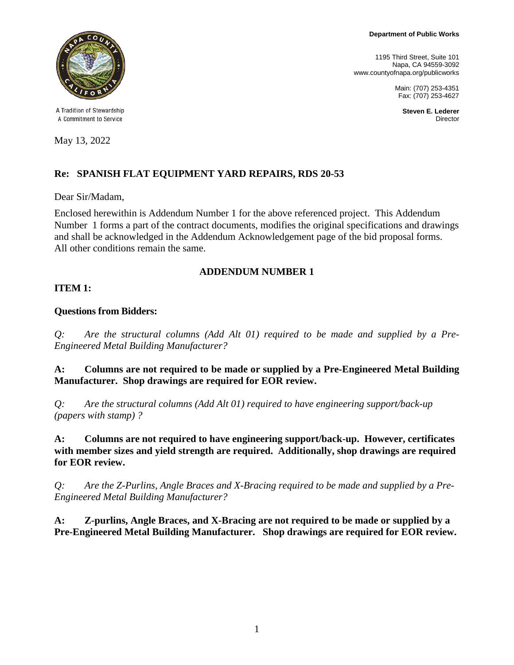**Department of Public Works**

1195 Third Street, Suite 101 Napa, CA 94559-3092 www.countyofnapa.org/publicworks

> Main: (707) 253-4351 Fax: (707) 253-4627

> > **Steven E. Lederer Director**



A Tradition of Stewardship A Commitment to Service

May 13, 2022

# **Re: SPANISH FLAT EQUIPMENT YARD REPAIRS, RDS 20-53**

Dear Sir/Madam,

Enclosed herewithin is Addendum Number 1 for the above referenced project. This Addendum Number 1 forms a part of the contract documents, modifies the original specifications and drawings and shall be acknowledged in the Addendum Acknowledgement page of the bid proposal forms. All other conditions remain the same.

### **ADDENDUM NUMBER 1**

#### **ITEM 1:**

#### **Questions from Bidders:**

*Q: Are the structural columns (Add Alt 01) required to be made and supplied by a Pre-Engineered Metal Building Manufacturer?*

**A: Columns are not required to be made or supplied by a Pre-Engineered Metal Building Manufacturer. Shop drawings are required for EOR review.**

*Q: Are the structural columns (Add Alt 01) required to have engineering support/back-up (papers with stamp) ?*

**A: Columns are not required to have engineering support/back-up. However, certificates with member sizes and yield strength are required. Additionally, shop drawings are required for EOR review.**

*Q: Are the Z-Purlins, Angle Braces and X-Bracing required to be made and supplied by a Pre-Engineered Metal Building Manufacturer?*

**A: Z-purlins, Angle Braces, and X-Bracing are not required to be made or supplied by a Pre-Engineered Metal Building Manufacturer. Shop drawings are required for EOR review.**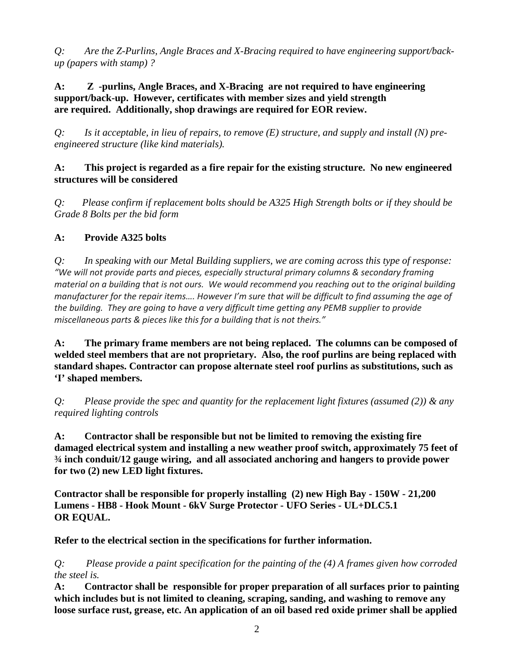*Q: Are the Z-Purlins, Angle Braces and X-Bracing required to have engineering support/backup (papers with stamp) ?* 

**A: Z -purlins, Angle Braces, and X-Bracing are not required to have engineering support/back-up. However, certificates with member sizes and yield strength are required. Additionally, shop drawings are required for EOR review.**

*Q: Is it acceptable, in lieu of repairs, to remove (E) structure, and supply and install (N) preengineered structure (like kind materials).*

#### **A: This project is regarded as a fire repair for the existing structure. No new engineered structures will be considered**

*Q: Please confirm if replacement bolts should be A325 High Strength bolts or if they should be Grade 8 Bolts per the bid form*

### **A: Provide A325 bolts**

*Q: In speaking with our Metal Building suppliers, we are coming across this type of response: "We will not provide parts and pieces, especially structural primary columns & secondary framing material on a building that is not ours. We would recommend you reaching out to the original building manufacturer for the repair items…. However I'm sure that will be difficult to find assuming the age of the building. They are going to have a very difficult time getting any PEMB supplier to provide miscellaneous parts & pieces like this for a building that is not theirs."*

**A: The primary frame members are not being replaced. The columns can be composed of welded steel members that are not proprietary. Also, the roof purlins are being replaced with standard shapes. Contractor can propose alternate steel roof purlins as substitutions, such as 'I' shaped members.** 

*Q: Please provide the spec and quantity for the replacement light fixtures (assumed (2)) & any required lighting controls*

**A: Contractor shall be responsible but not be limited to removing the existing fire damaged electrical system and installing a new weather proof switch, approximately 75 feet of ¾ inch conduit/12 gauge wiring, and all associated anchoring and hangers to provide power for two (2) new LED light fixtures.** 

**Contractor shall be responsible for properly installing (2) new High Bay - 150W - 21,200 Lumens - HB8 - Hook Mount - 6kV Surge Protector - UFO Series - UL+DLC5.1 OR EQUAL.** 

**Refer to the electrical section in the specifications for further information.**

*Q: Please provide a paint specification for the painting of the (4) A frames given how corroded the steel is.*

**A: Contractor shall be responsible for proper preparation of all surfaces prior to painting which includes but is not limited to cleaning, scraping, sanding, and washing to remove any loose surface rust, grease, etc. An application of an oil based red oxide primer shall be applied**